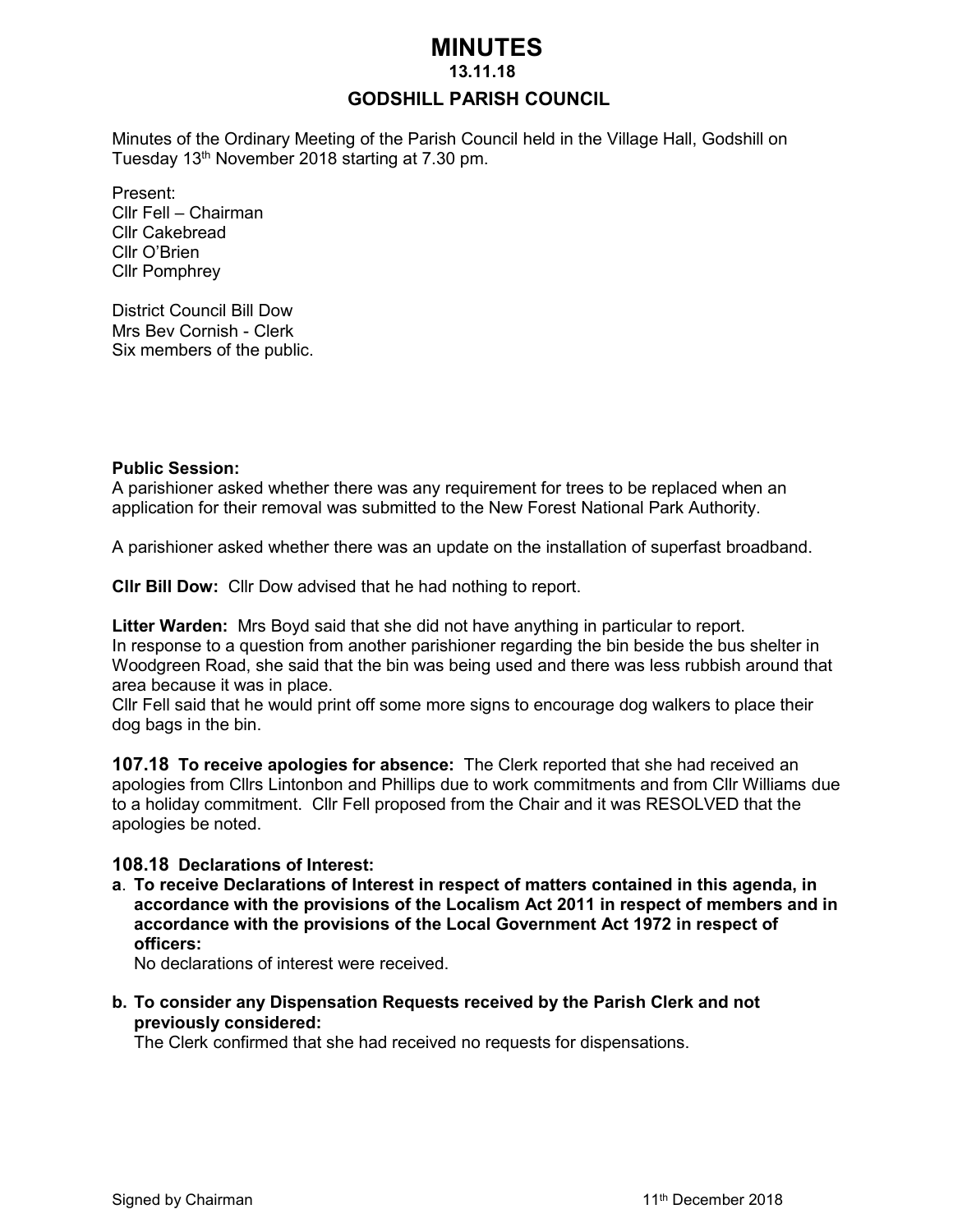# **MINUTES**

#### **13.11.18**

### **GODSHILL PARISH COUNCIL**

Minutes of the Ordinary Meeting of the Parish Council held in the Village Hall, Godshill on Tuesday 13<sup>th</sup> November 2018 starting at 7.30 pm.

Present: Cllr Fell – Chairman Cllr Cakebread Cllr O'Brien Cllr Pomphrey

District Council Bill Dow Mrs Bev Cornish - Clerk Six members of the public.

#### **Public Session:**

A parishioner asked whether there was any requirement for trees to be replaced when an application for their removal was submitted to the New Forest National Park Authority.

A parishioner asked whether there was an update on the installation of superfast broadband.

**Cllr Bill Dow:** Cllr Dow advised that he had nothing to report.

**Litter Warden:** Mrs Boyd said that she did not have anything in particular to report. In response to a question from another parishioner regarding the bin beside the bus shelter in Woodgreen Road, she said that the bin was being used and there was less rubbish around that area because it was in place.

Cllr Fell said that he would print off some more signs to encourage dog walkers to place their dog bags in the bin.

**107.18 To receive apologies for absence:** The Clerk reported that she had received an apologies from Cllrs Lintonbon and Phillips due to work commitments and from Cllr Williams due to a holiday commitment. Cllr Fell proposed from the Chair and it was RESOLVED that the apologies be noted.

#### **108.18 Declarations of Interest:**

**a**. **To receive Declarations of Interest in respect of matters contained in this agenda, in accordance with the provisions of the Localism Act 2011 in respect of members and in accordance with the provisions of the Local Government Act 1972 in respect of officers:**

No declarations of interest were received.

**b. To consider any Dispensation Requests received by the Parish Clerk and not previously considered:** 

The Clerk confirmed that she had received no requests for dispensations.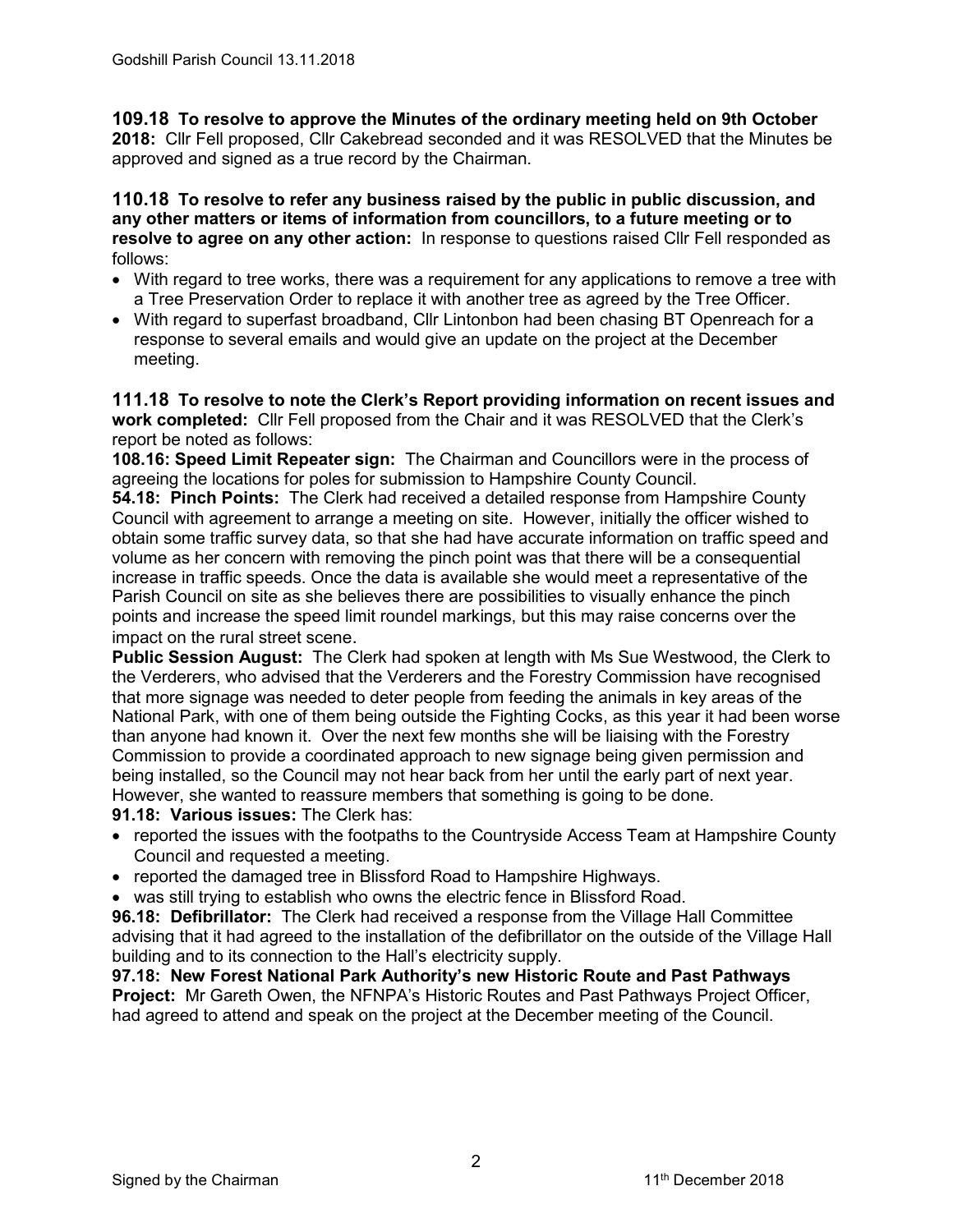**109.18 To resolve to approve the Minutes of the ordinary meeting held on 9th October 2018:** Cllr Fell proposed, Cllr Cakebread seconded and it was RESOLVED that the Minutes be approved and signed as a true record by the Chairman.

### **110.18 To resolve to refer any business raised by the public in public discussion, and any other matters or items of information from councillors, to a future meeting or to resolve to agree on any other action:** In response to questions raised Cllr Fell responded as follows:

- With regard to tree works, there was a requirement for any applications to remove a tree with a Tree Preservation Order to replace it with another tree as agreed by the Tree Officer.
- With regard to superfast broadband, Cllr Lintonbon had been chasing BT Openreach for a response to several emails and would give an update on the project at the December meeting.

**111.18 To resolve to note the Clerk's Report providing information on recent issues and work completed:** Cllr Fell proposed from the Chair and it was RESOLVED that the Clerk's report be noted as follows:

**108.16: Speed Limit Repeater sign:** The Chairman and Councillors were in the process of agreeing the locations for poles for submission to Hampshire County Council.

**54.18: Pinch Points:** The Clerk had received a detailed response from Hampshire County Council with agreement to arrange a meeting on site. However, initially the officer wished to obtain some traffic survey data, so that she had have accurate information on traffic speed and volume as her concern with removing the pinch point was that there will be a consequential increase in traffic speeds. Once the data is available she would meet a representative of the Parish Council on site as she believes there are possibilities to visually enhance the pinch points and increase the speed limit roundel markings, but this may raise concerns over the impact on the rural street scene.

**Public Session August:** The Clerk had spoken at length with Ms Sue Westwood, the Clerk to the Verderers, who advised that the Verderers and the Forestry Commission have recognised that more signage was needed to deter people from feeding the animals in key areas of the National Park, with one of them being outside the Fighting Cocks, as this year it had been worse than anyone had known it. Over the next few months she will be liaising with the Forestry Commission to provide a coordinated approach to new signage being given permission and being installed, so the Council may not hear back from her until the early part of next year. However, she wanted to reassure members that something is going to be done.

### **91.18: Various issues:** The Clerk has:

- reported the issues with the footpaths to the Countryside Access Team at Hampshire County Council and requested a meeting.
- reported the damaged tree in Blissford Road to Hampshire Highways.
- was still trying to establish who owns the electric fence in Blissford Road.

**96.18: Defibrillator:** The Clerk had received a response from the Village Hall Committee advising that it had agreed to the installation of the defibrillator on the outside of the Village Hall building and to its connection to the Hall's electricity supply.

**97.18: New Forest National Park Authority's new Historic Route and Past Pathways Project:** Mr Gareth Owen, the NFNPA's Historic Routes and Past Pathways Project Officer, had agreed to attend and speak on the project at the December meeting of the Council.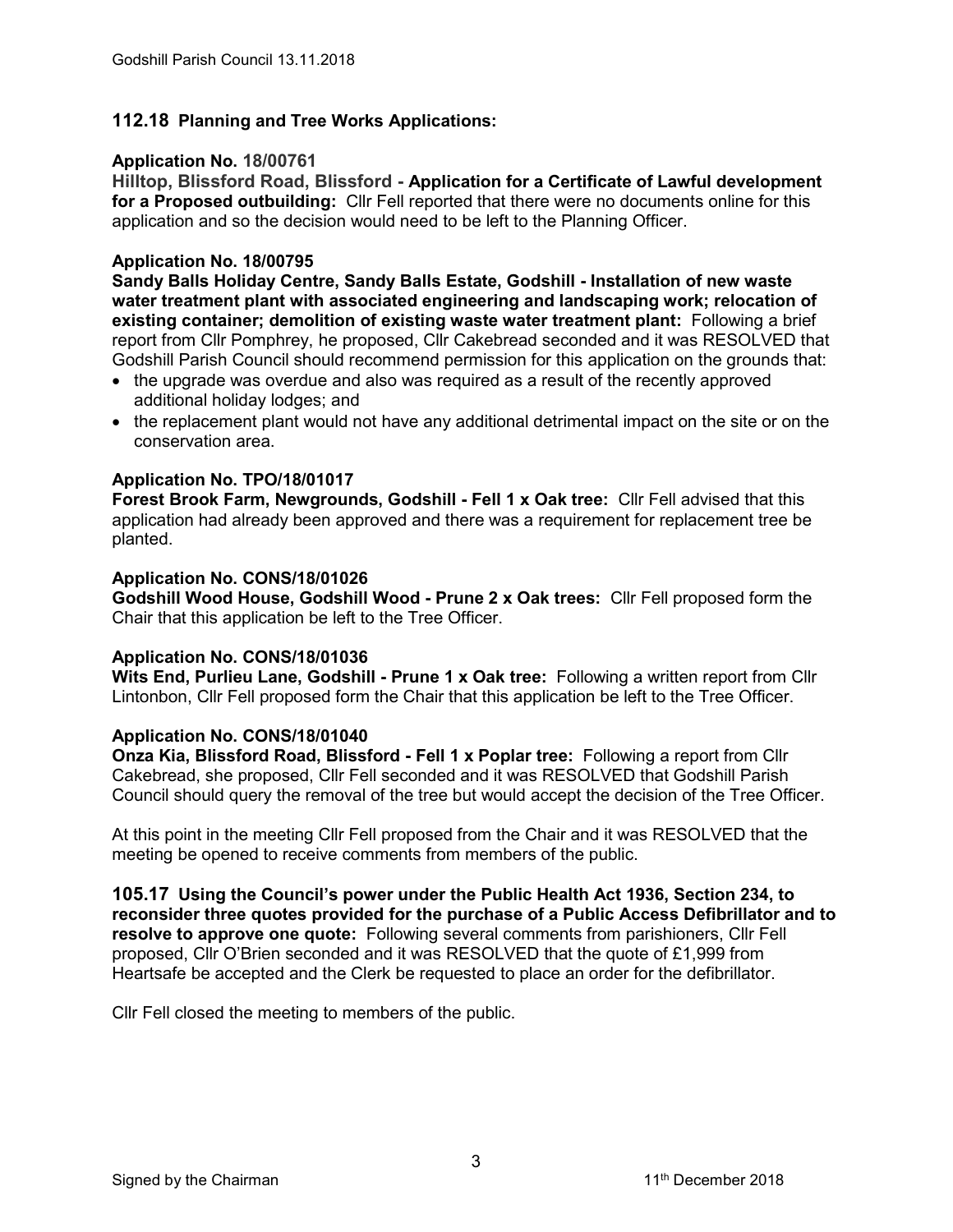### **112.18 Planning and Tree Works Applications:**

### **Application No. 18/00761**

**Hilltop, Blissford Road, Blissford - Application for a Certificate of Lawful development for a Proposed outbuilding:** Cllr Fell reported that there were no documents online for this application and so the decision would need to be left to the Planning Officer.

### **Application No. 18/00795**

**Sandy Balls Holiday Centre, Sandy Balls Estate, Godshill - Installation of new waste water treatment plant with associated engineering and landscaping work; relocation of existing container; demolition of existing waste water treatment plant:** Following a brief report from Cllr Pomphrey, he proposed, Cllr Cakebread seconded and it was RESOLVED that Godshill Parish Council should recommend permission for this application on the grounds that:

- the upgrade was overdue and also was required as a result of the recently approved additional holiday lodges; and
- the replacement plant would not have any additional detrimental impact on the site or on the conservation area.

### **Application No. TPO/18/01017**

**Forest Brook Farm, Newgrounds, Godshill - Fell 1 x Oak tree:** Cllr Fell advised that this application had already been approved and there was a requirement for replacement tree be planted.

#### **Application No. CONS/18/01026**

**Godshill Wood House, Godshill Wood - Prune 2 x Oak trees:** Cllr Fell proposed form the Chair that this application be left to the Tree Officer.

#### **Application No. CONS/18/01036**

**Wits End, Purlieu Lane, Godshill - Prune 1 x Oak tree:** Following a written report from Cllr Lintonbon, Cllr Fell proposed form the Chair that this application be left to the Tree Officer.

#### **Application No. CONS/18/01040**

**Onza Kia, Blissford Road, Blissford - Fell 1 x Poplar tree:** Following a report from Cllr Cakebread, she proposed, Cllr Fell seconded and it was RESOLVED that Godshill Parish Council should query the removal of the tree but would accept the decision of the Tree Officer.

At this point in the meeting Cllr Fell proposed from the Chair and it was RESOLVED that the meeting be opened to receive comments from members of the public.

**105.17 Using the Council's power under the Public Health Act 1936, Section 234, to reconsider three quotes provided for the purchase of a Public Access Defibrillator and to resolve to approve one quote:** Following several comments from parishioners, Cllr Fell proposed, Cllr O'Brien seconded and it was RESOLVED that the quote of £1,999 from Heartsafe be accepted and the Clerk be requested to place an order for the defibrillator.

Cllr Fell closed the meeting to members of the public.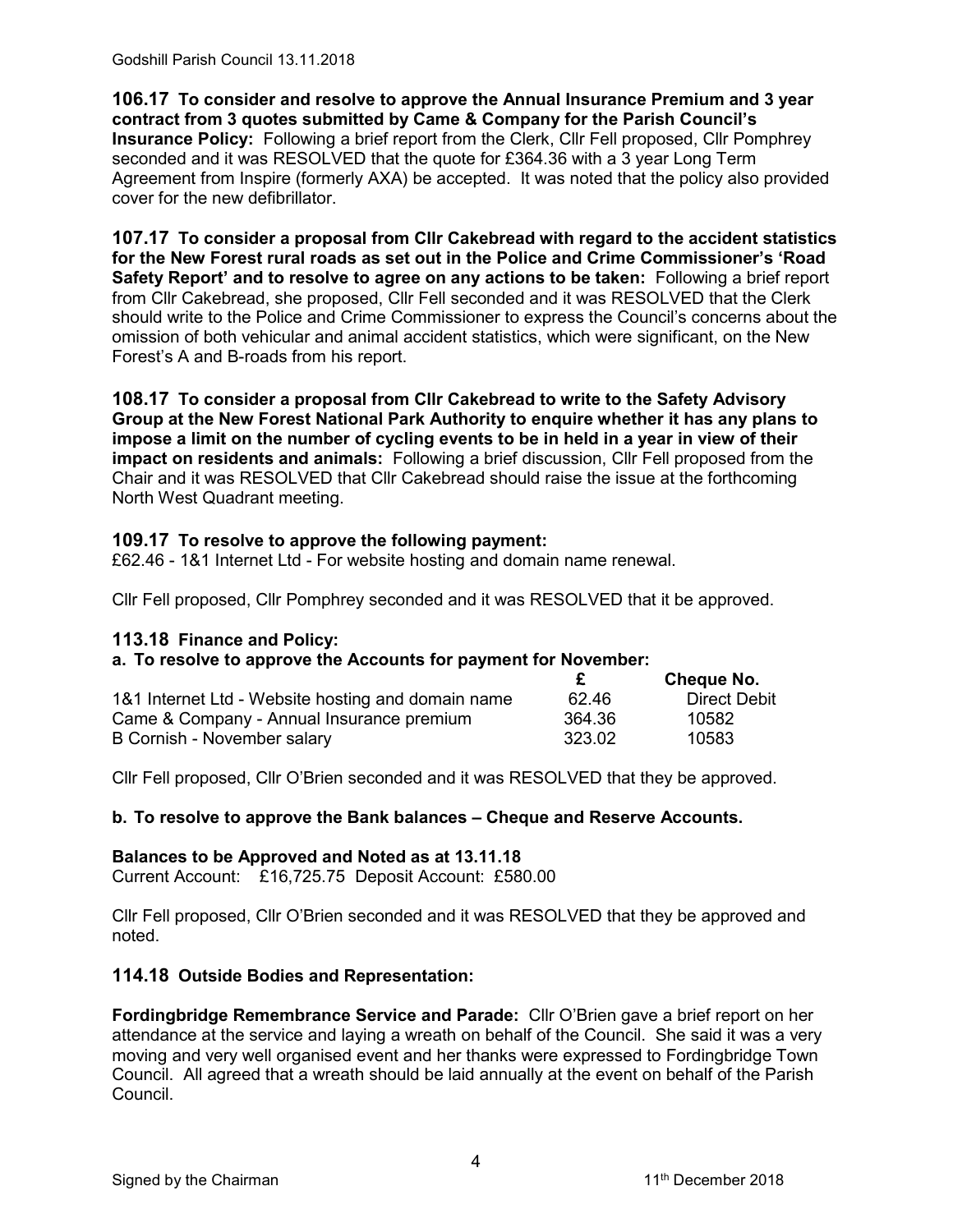Godshill Parish Council 13.11.2018

**106.17 To consider and resolve to approve the Annual Insurance Premium and 3 year contract from 3 quotes submitted by Came & Company for the Parish Council's Insurance Policy:** Following a brief report from the Clerk, Cllr Fell proposed, Cllr Pomphrey seconded and it was RESOLVED that the quote for £364.36 with a 3 year Long Term Agreement from Inspire (formerly AXA) be accepted. It was noted that the policy also provided cover for the new defibrillator.

**107.17 To consider a proposal from Cllr Cakebread with regard to the accident statistics for the New Forest rural roads as set out in the Police and Crime Commissioner's 'Road Safety Report' and to resolve to agree on any actions to be taken:** Following a brief report from Cllr Cakebread, she proposed, Cllr Fell seconded and it was RESOLVED that the Clerk should write to the Police and Crime Commissioner to express the Council's concerns about the omission of both vehicular and animal accident statistics, which were significant, on the New Forest's A and B-roads from his report.

**108.17 To consider a proposal from Cllr Cakebread to write to the Safety Advisory Group at the New Forest National Park Authority to enquire whether it has any plans to impose a limit on the number of cycling events to be in held in a year in view of their impact on residents and animals:** Following a brief discussion, Cllr Fell proposed from the Chair and it was RESOLVED that Cllr Cakebread should raise the issue at the forthcoming North West Quadrant meeting.

### **109.17 To resolve to approve the following payment:**

£62.46 - 1&1 Internet Ltd - For website hosting and domain name renewal.

Cllr Fell proposed, Cllr Pomphrey seconded and it was RESOLVED that it be approved.

#### **113.18 Finance and Policy:**

#### **a. To resolve to approve the Accounts for payment for November:**

|                                                    |        | Cheque No.   |
|----------------------------------------------------|--------|--------------|
| 1&1 Internet Ltd - Website hosting and domain name | 62.46  | Direct Debit |
| Came & Company - Annual Insurance premium          | 364.36 | 10582        |
| B Cornish - November salary                        | 323.02 | 10583        |

Cllr Fell proposed, Cllr O'Brien seconded and it was RESOLVED that they be approved.

### **b. To resolve to approve the Bank balances – Cheque and Reserve Accounts.**

#### **Balances to be Approved and Noted as at 13.11.18**

Current Account: £16,725.75 Deposit Account: £580.00

Cllr Fell proposed, Cllr O'Brien seconded and it was RESOLVED that they be approved and noted.

### **114.18 Outside Bodies and Representation:**

**Fordingbridge Remembrance Service and Parade:** Cllr O'Brien gave a brief report on her attendance at the service and laying a wreath on behalf of the Council. She said it was a very moving and very well organised event and her thanks were expressed to Fordingbridge Town Council. All agreed that a wreath should be laid annually at the event on behalf of the Parish Council.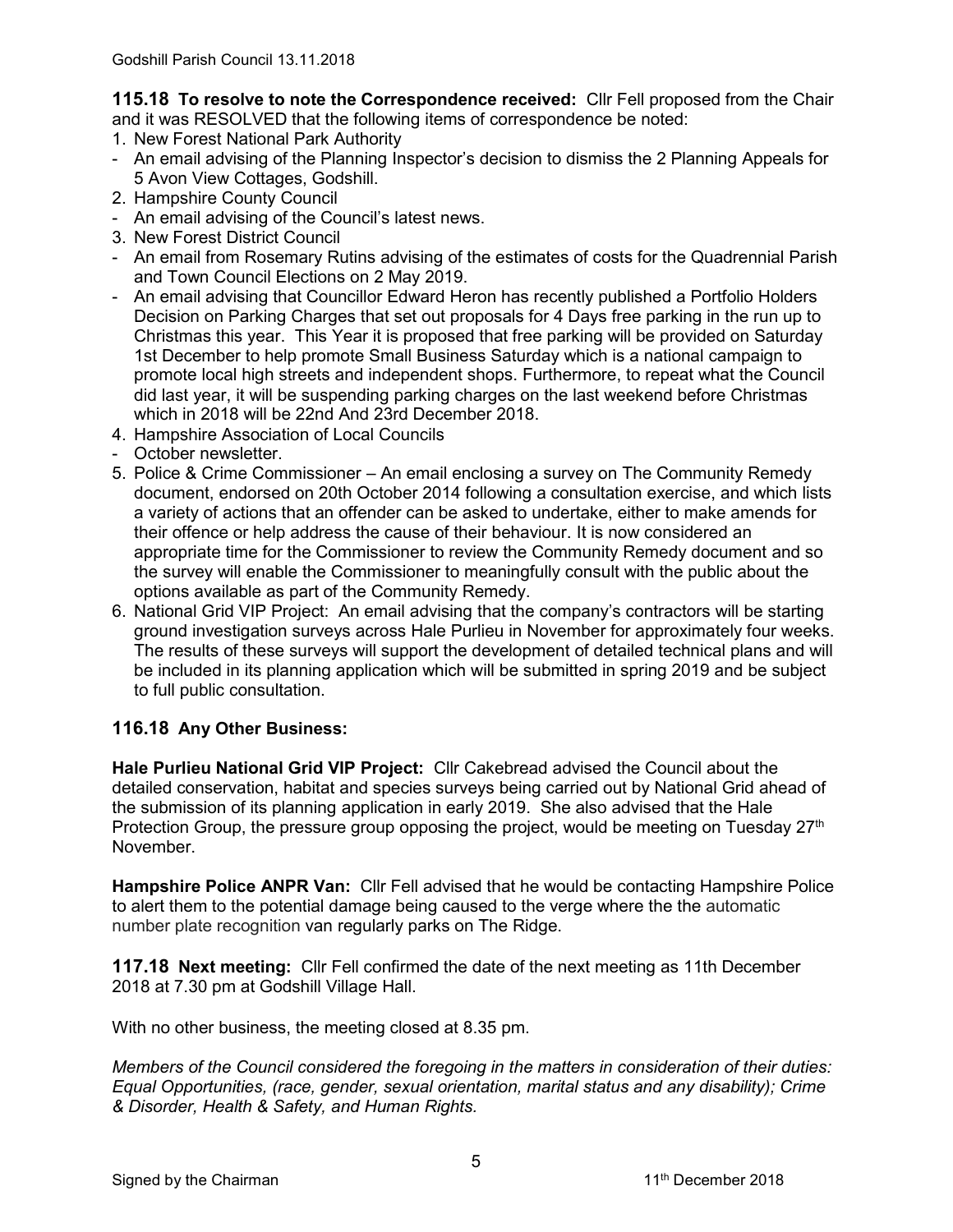**115.18 To resolve to note the Correspondence received:** Cllr Fell proposed from the Chair and it was RESOLVED that the following items of correspondence be noted:

- 1. New Forest National Park Authority
- An email advising of the Planning Inspector's decision to dismiss the 2 Planning Appeals for 5 Avon View Cottages, Godshill.
- 2. Hampshire County Council
- An email advising of the Council's latest news.
- 3. New Forest District Council
- An email from Rosemary Rutins advising of the estimates of costs for the Quadrennial Parish and Town Council Elections on 2 May 2019.
- An email advising that Councillor Edward Heron has recently published a Portfolio Holders Decision on Parking Charges that set out proposals for 4 Days free parking in the run up to Christmas this year. This Year it is proposed that free parking will be provided on Saturday 1st December to help promote Small Business Saturday which is a national campaign to promote local high streets and independent shops. Furthermore, to repeat what the Council did last year, it will be suspending parking charges on the last weekend before Christmas which in 2018 will be 22nd And 23rd December 2018.
- 4. Hampshire Association of Local Councils
- October newsletter.
- 5. Police & Crime Commissioner An email enclosing a survey on The Community Remedy document, endorsed on 20th October 2014 following a consultation exercise, and which lists a variety of actions that an offender can be asked to undertake, either to make amends for their offence or help address the cause of their behaviour. It is now considered an appropriate time for the Commissioner to review the Community Remedy document and so the survey will enable the Commissioner to meaningfully consult with the public about the options available as part of the Community Remedy.
- 6. National Grid VIP Project: An email advising that the company's contractors will be starting ground investigation surveys across Hale Purlieu in November for approximately four weeks. The results of these surveys will support the development of detailed technical plans and will be included in its planning application which will be submitted in spring 2019 and be subject to full public consultation.

## **116.18 Any Other Business:**

**Hale Purlieu National Grid VIP Project:** Cllr Cakebread advised the Council about the detailed conservation, habitat and species surveys being carried out by National Grid ahead of the submission of its planning application in early 2019. She also advised that the Hale Protection Group, the pressure group opposing the project, would be meeting on Tuesday  $27<sup>th</sup>$ November.

**Hampshire Police ANPR Van:** Cllr Fell advised that he would be contacting Hampshire Police to alert them to the potential damage being caused to the verge where the the automatic number plate recognition van regularly parks on The Ridge.

**117.18 Next meeting:** Cllr Fell confirmed the date of the next meeting as 11th December 2018 at 7.30 pm at Godshill Village Hall.

With no other business, the meeting closed at 8.35 pm.

*Members of the Council considered the foregoing in the matters in consideration of their duties: Equal Opportunities, (race, gender, sexual orientation, marital status and any disability); Crime & Disorder, Health & Safety, and Human Rights.*